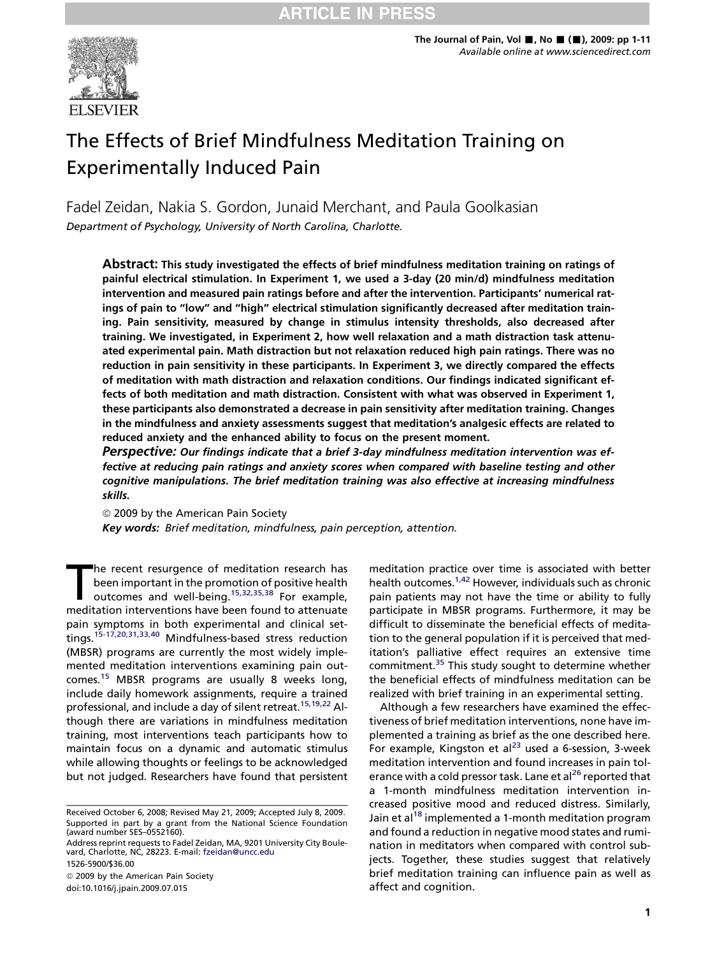

# The Effects of Brief Mindfulness Meditation Training on Experimentally Induced Pain

Fadel Zeidan, Nakia S. Gordon, Junaid Merchant, and Paula Goolkasian Department of Psychology, University of North Carolina, Charlotte.

Abstract: This study investigated the effects of brief mindfulness meditation training on ratings of painful electrical stimulation. In Experiment 1, we used a 3-day (20 min/d) mindfulness meditation intervention and measured pain ratings before and after the intervention. Participants' numerical ratings of pain to ''low'' and ''high'' electrical stimulation significantly decreased after meditation training. Pain sensitivity, measured by change in stimulus intensity thresholds, also decreased after training. We investigated, in Experiment 2, how well relaxation and a math distraction task attenuated experimental pain. Math distraction but not relaxation reduced high pain ratings. There was no reduction in pain sensitivity in these participants. In Experiment 3, we directly compared the effects of meditation with math distraction and relaxation conditions. Our findings indicated significant effects of both meditation and math distraction. Consistent with what was observed in Experiment 1, these participants also demonstrated a decrease in pain sensitivity after meditation training. Changes in the mindfulness and anxiety assessments suggest that meditation's analgesic effects are related to reduced anxiety and the enhanced ability to focus on the present moment.

Perspective: Our findings indicate that a brief 3-day mindfulness meditation intervention was effective at reducing pain ratings and anxiety scores when compared with baseline testing and other cognitive manipulations. The brief meditation training was also effective at increasing mindfulness skills.

<sup>©</sup> 2009 by the American Pain Society

Key words: Brief meditation, mindfulness, pain perception, attention.

The recent resurgence of meditation research has<br>been important in the promotion of positive health<br>outcomes and well-being.<sup>15,32,35,38</sup> For example,<br>meditation interventions have been found to attenuate been important in the promotion of positive health meditation interventions have been found to attenuate pain symptoms in both experimental and clinical settings.[15-17,20,31,33,40](#page-9-0) Mindfulness-based stress reduction (MBSR) programs are currently the most widely implemented meditation interventions examining pain outcomes[.15](#page-9-0) MBSR programs are usually 8 weeks long, include daily homework assignments, require a trained professional, and include a day of silent retreat.<sup>[15,19,22](#page-9-0)</sup> Although there are variations in mindfulness meditation training, most interventions teach participants how to maintain focus on a dynamic and automatic stimulus while allowing thoughts or feelings to be acknowledged but not judged. Researchers have found that persistent

Address reprint requests to Fadel Zeidan, MA, 9201 University City Boule-vard, Charlotte, NC, 28223. E-mail: [fzeidan@uncc.edu](mailto:fzeidan@uncc.edu)

1526-5900/\$36.00  $@$  2009 by the American Pain Society doi:10.1016/j.jpain.2009.07.015

meditation practice over time is associated with better health outcomes.<sup>[1,42](#page-8-0)</sup> However, individuals such as chronic pain patients may not have the time or ability to fully participate in MBSR programs. Furthermore, it may be difficult to disseminate the beneficial effects of meditation to the general population if it is perceived that meditation's palliative effect requires an extensive time commitment.<sup>[35](#page-9-0)</sup> This study sought to determine whether the beneficial effects of mindfulness meditation can be realized with brief training in an experimental setting.

Although a few researchers have examined the effectiveness of brief meditation interventions, none have implemented a training as brief as the one described here. For example, Kingston et al<sup>[23](#page-9-0)</sup> used a 6-session, 3-week meditation intervention and found increases in pain tol-erance with a cold pressor task. Lane et al<sup>[26](#page-9-0)</sup> reported that a 1-month mindfulness meditation intervention increased positive mood and reduced distress. Similarly, Jain et al<sup>18</sup> implemented a 1-month meditation program and found a reduction in negative mood states and rumination in meditators when compared with control subjects. Together, these studies suggest that relatively brief meditation training can influence pain as well as affect and cognition.

Received October 6, 2008; Revised May 21, 2009; Accepted July 8, 2009. Supported in part by a grant from the National Science Foundation (award number SES–0552160).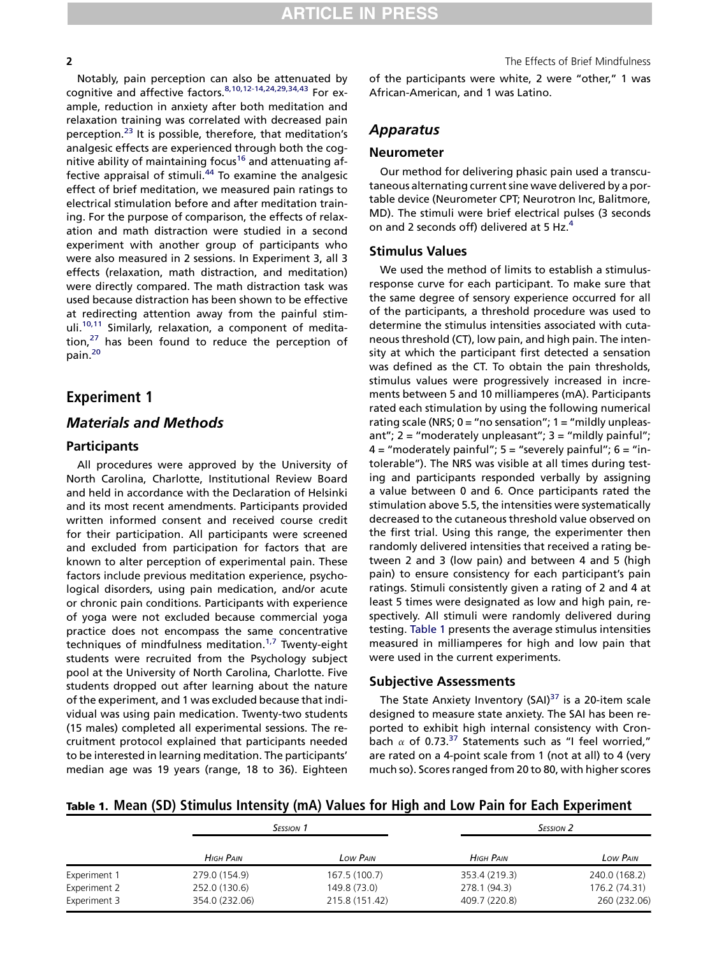<span id="page-1-0"></span>Notably, pain perception can also be attenuated by cognitive and affective factors.<sup>[8,10,12-14,24,29,34,43](#page-9-0)</sup> For example, reduction in anxiety after both meditation and relaxation training was correlated with decreased pain perception.[23](#page-9-0) It is possible, therefore, that meditation's analgesic effects are experienced through both the cog-nitive ability of maintaining focus<sup>[16](#page-9-0)</sup> and attenuating af-fective appraisal of stimuli.<sup>[44](#page-10-0)</sup> To examine the analgesic effect of brief meditation, we measured pain ratings to electrical stimulation before and after meditation training. For the purpose of comparison, the effects of relaxation and math distraction were studied in a second experiment with another group of participants who were also measured in 2 sessions. In Experiment 3, all 3 effects (relaxation, math distraction, and meditation) were directly compared. The math distraction task was used because distraction has been shown to be effective at redirecting attention away from the painful stimuli.<sup>10,11</sup> Similarly, relaxation, a component of meditation, $27$  has been found to reduce the perception of pain.<sup>[20](#page-9-0)</sup>

# Experiment 1

# Materials and Methods

# **Participants**

All procedures were approved by the University of North Carolina, Charlotte, Institutional Review Board and held in accordance with the Declaration of Helsinki and its most recent amendments. Participants provided written informed consent and received course credit for their participation. All participants were screened and excluded from participation for factors that are known to alter perception of experimental pain. These factors include previous meditation experience, psychological disorders, using pain medication, and/or acute or chronic pain conditions. Participants with experience of yoga were not excluded because commercial yoga practice does not encompass the same concentrative techniques of mindfulness meditation. $1,7$  Twenty-eight students were recruited from the Psychology subject pool at the University of North Carolina, Charlotte. Five students dropped out after learning about the nature of the experiment, and 1 was excluded because that individual was using pain medication. Twenty-two students (15 males) completed all experimental sessions. The recruitment protocol explained that participants needed to be interested in learning meditation. The participants' median age was 19 years (range, 18 to 36). Eighteen of the participants were white, 2 were ''other,'' 1 was African-American, and 1 was Latino.

# Apparatus

#### Neurometer

Our method for delivering phasic pain used a transcutaneous alternating current sine wave delivered by a portable device (Neurometer CPT; Neurotron Inc, Balitmore, MD). The stimuli were brief electrical pulses (3 seconds on and 2 seconds off) delivered at 5 Hz.<sup>4</sup>

#### Stimulus Values

We used the method of limits to establish a stimulusresponse curve for each participant. To make sure that the same degree of sensory experience occurred for all of the participants, a threshold procedure was used to determine the stimulus intensities associated with cutaneous threshold (CT), low pain, and high pain. The intensity at which the participant first detected a sensation was defined as the CT. To obtain the pain thresholds, stimulus values were progressively increased in increments between 5 and 10 milliamperes (mA). Participants rated each stimulation by using the following numerical rating scale (NRS;  $0 =$  "no sensation";  $1 =$  "mildly unpleasant";  $2 =$  "moderately unpleasant";  $3 =$  "mildly painful";  $4 =$  "moderately painful";  $5 =$  "severely painful";  $6 =$  "intolerable''). The NRS was visible at all times during testing and participants responded verbally by assigning a value between 0 and 6. Once participants rated the stimulation above 5.5, the intensities were systematically decreased to the cutaneous threshold value observed on the first trial. Using this range, the experimenter then randomly delivered intensities that received a rating between 2 and 3 (low pain) and between 4 and 5 (high pain) to ensure consistency for each participant's pain ratings. Stimuli consistently given a rating of 2 and 4 at least 5 times were designated as low and high pain, respectively. All stimuli were randomly delivered during testing. Table 1 presents the average stimulus intensities measured in milliamperes for high and low pain that were used in the current experiments.

#### Subjective Assessments

The State Anxiety Inventory  $(SAI)^{37}$  $(SAI)^{37}$  $(SAI)^{37}$  is a 20-item scale designed to measure state anxiety. The SAI has been reported to exhibit high internal consistency with Cronbach  $\alpha$  of 0.73.<sup>[37](#page-9-0)</sup> Statements such as "I feel worried," are rated on a 4-point scale from 1 (not at all) to 4 (very much so). Scores ranged from 20 to 80, with higher scores

Table 1. Mean (SD) Stimulus Intensity (mA) Values for High and Low Pain for Each Experiment

|              | <b>SESSION 1</b> |                | <b>SESSION 2</b> |               |
|--------------|------------------|----------------|------------------|---------------|
|              | <b>HIGH PAIN</b> | LOW PAIN       | <b>HIGH PAIN</b> | LOW PAIN      |
| Experiment 1 | 279.0 (154.9)    | 167.5 (100.7)  | 353.4 (219.3)    | 240.0 (168.2) |
| Experiment 2 | 252.0 (130.6)    | 149.8 (73.0)   | 278.1 (94.3)     | 176.2 (74.31) |
| Experiment 3 | 354.0 (232.06)   | 215.8 (151.42) | 409.7 (220.8)    | 260 (232.06)  |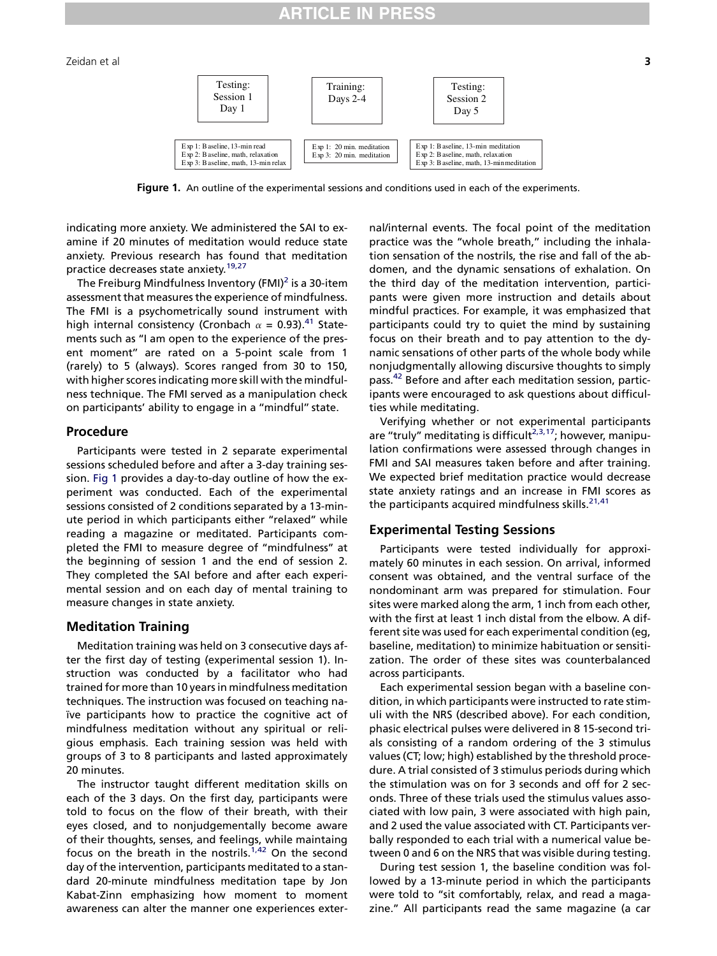<span id="page-2-0"></span>

Figure 1. An outline of the experimental sessions and conditions used in each of the experiments.

indicating more anxiety. We administered the SAI to examine if 20 minutes of meditation would reduce state anxiety. Previous research has found that meditation practice decreases state anxiety.<sup>[19,27](#page-9-0)</sup>

The Freiburg Mindfulness Inventory (FMI) $<sup>2</sup>$  $<sup>2</sup>$  $<sup>2</sup>$  is a 30-item</sup> assessment that measures the experience of mindfulness. The FMI is a psychometrically sound instrument with high internal consistency (Cronbach  $\alpha = 0.93$ ).<sup>[41](#page-10-0)</sup> Statements such as ''I am open to the experience of the present moment'' are rated on a 5-point scale from 1 (rarely) to 5 (always). Scores ranged from 30 to 150, with higher scores indicating more skill with the mindfulness technique. The FMI served as a manipulation check on participants' ability to engage in a ''mindful'' state.

#### Procedure

Participants were tested in 2 separate experimental sessions scheduled before and after a 3-day training session. Fig 1 provides a day-to-day outline of how the experiment was conducted. Each of the experimental sessions consisted of 2 conditions separated by a 13-minute period in which participants either "relaxed" while reading a magazine or meditated. Participants completed the FMI to measure degree of ''mindfulness'' at the beginning of session 1 and the end of session 2. They completed the SAI before and after each experimental session and on each day of mental training to measure changes in state anxiety.

#### Meditation Training

Meditation training was held on 3 consecutive days after the first day of testing (experimental session 1). Instruction was conducted by a facilitator who had trained for more than 10 years in mindfulness meditation techniques. The instruction was focused on teaching naive participants how to practice the cognitive act of mindfulness meditation without any spiritual or religious emphasis. Each training session was held with groups of 3 to 8 participants and lasted approximately 20 minutes.

The instructor taught different meditation skills on each of the 3 days. On the first day, participants were told to focus on the flow of their breath, with their eyes closed, and to nonjudgementally become aware of their thoughts, senses, and feelings, while maintaing focus on the breath in the nostrils.<sup>[1,42](#page-8-0)</sup> On the second day of the intervention, participants meditated to a standard 20-minute mindfulness meditation tape by Jon Kabat-Zinn emphasizing how moment to moment awareness can alter the manner one experiences external/internal events. The focal point of the meditation practice was the "whole breath," including the inhalation sensation of the nostrils, the rise and fall of the abdomen, and the dynamic sensations of exhalation. On the third day of the meditation intervention, participants were given more instruction and details about mindful practices. For example, it was emphasized that participants could try to quiet the mind by sustaining focus on their breath and to pay attention to the dynamic sensations of other parts of the whole body while nonjudgmentally allowing discursive thoughts to simply pass.[42](#page-10-0) Before and after each meditation session, participants were encouraged to ask questions about difficulties while meditating.

Verifying whether or not experimental participants are "truly" meditating is difficult<sup>[2,3,17](#page-8-0)</sup>; however, manipulation confirmations were assessed through changes in FMI and SAI measures taken before and after training. We expected brief meditation practice would decrease state anxiety ratings and an increase in FMI scores as the participants acquired mindfulness skills. $21,41$ 

#### Experimental Testing Sessions

Participants were tested individually for approximately 60 minutes in each session. On arrival, informed consent was obtained, and the ventral surface of the nondominant arm was prepared for stimulation. Four sites were marked along the arm, 1 inch from each other, with the first at least 1 inch distal from the elbow. A different site was used for each experimental condition (eg, baseline, meditation) to minimize habituation or sensitization. The order of these sites was counterbalanced across participants.

Each experimental session began with a baseline condition, in which participants were instructed to rate stimuli with the NRS (described above). For each condition, phasic electrical pulses were delivered in 8 15-second trials consisting of a random ordering of the 3 stimulus values (CT; low; high) established by the threshold procedure. A trial consisted of 3 stimulus periods during which the stimulation was on for 3 seconds and off for 2 seconds. Three of these trials used the stimulus values associated with low pain, 3 were associated with high pain, and 2 used the value associated with CT. Participants verbally responded to each trial with a numerical value between 0 and 6 on the NRS that was visible during testing.

During test session 1, the baseline condition was followed by a 13-minute period in which the participants were told to "sit comfortably, relax, and read a magazine.'' All participants read the same magazine (a car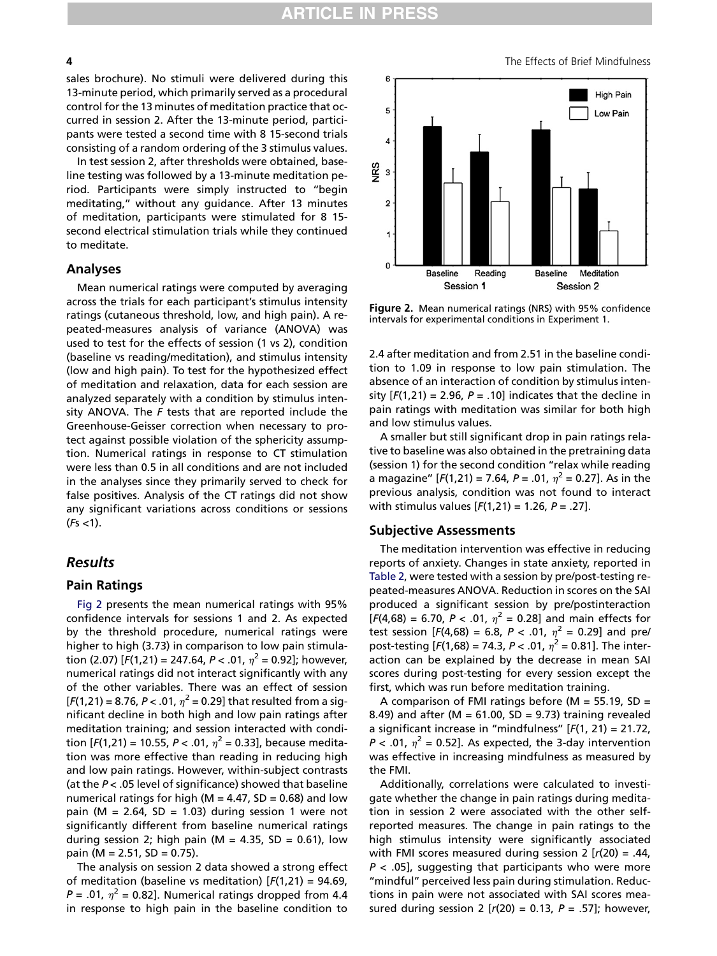sales brochure). No stimuli were delivered during this 13-minute period, which primarily served as a procedural control for the 13 minutes of meditation practice that occurred in session 2. After the 13-minute period, participants were tested a second time with 8 15-second trials consisting of a random ordering of the 3 stimulus values.

In test session 2, after thresholds were obtained, baseline testing was followed by a 13-minute meditation period. Participants were simply instructed to ''begin meditating,'' without any guidance. After 13 minutes of meditation, participants were stimulated for 8 15 second electrical stimulation trials while they continued to meditate.

#### Analyses

Mean numerical ratings were computed by averaging across the trials for each participant's stimulus intensity ratings (cutaneous threshold, low, and high pain). A repeated-measures analysis of variance (ANOVA) was used to test for the effects of session (1 vs 2), condition (baseline vs reading/meditation), and stimulus intensity (low and high pain). To test for the hypothesized effect of meditation and relaxation, data for each session are analyzed separately with a condition by stimulus intensity ANOVA. The  $F$  tests that are reported include the Greenhouse-Geisser correction when necessary to protect against possible violation of the sphericity assumption. Numerical ratings in response to CT stimulation were less than 0.5 in all conditions and are not included in the analyses since they primarily served to check for false positives. Analysis of the CT ratings did not show any significant variations across conditions or sessions  $(Fs < 1)$ .

# Results

#### Pain Ratings

Fig 2 presents the mean numerical ratings with 95% confidence intervals for sessions 1 and 2. As expected by the threshold procedure, numerical ratings were higher to high (3.73) in comparison to low pain stimulation (2.07) [ $F(1,21) = 247.64$ ,  $P < .01$ ,  $\eta^2 = 0.92$ ]; however, numerical ratings did not interact significantly with any of the other variables. There was an effect of session  $[F(1,21) = 8.76, P < .01, \eta^2 = 0.29]$  that resulted from a significant decline in both high and low pain ratings after meditation training; and session interacted with condition [ $F(1,21) = 10.55$ ,  $P < .01$ ,  $\eta^2 = 0.33$ ], because meditation was more effective than reading in reducing high and low pain ratings. However, within-subject contrasts (at the  $P < 0.05$  level of significance) showed that baseline numerical ratings for high ( $M = 4.47$ , SD = 0.68) and low pain (M = 2.64, SD = 1.03) during session 1 were not significantly different from baseline numerical ratings during session 2; high pain (M = 4.35, SD = 0.61), low pain (M = 2.51, SD = 0.75).

The analysis on session 2 data showed a strong effect of meditation (baseline vs meditation)  $[F(1,21) = 94.69]$ ,  $P = .01$ ,  $\eta^2 = 0.82$ ]. Numerical ratings dropped from 4.4 in response to high pain in the baseline condition to

**4** The Effects of Brief Mindfulness



Figure 2. Mean numerical ratings (NRS) with 95% confidence intervals for experimental conditions in Experiment 1.

2.4 after meditation and from 2.51 in the baseline condition to 1.09 in response to low pain stimulation. The absence of an interaction of condition by stimulus intensity  $[F(1,21) = 2.96, P = .10]$  indicates that the decline in pain ratings with meditation was similar for both high and low stimulus values.

A smaller but still significant drop in pain ratings relative to baseline was also obtained in the pretraining data (session 1) for the second condition ''relax while reading a magazine" [ $F(1,21) = 7.64$ ,  $P = .01$ ,  $\eta^2 = 0.27$ ]. As in the previous analysis, condition was not found to interact with stimulus values  $[F(1,21) = 1.26, P = .27]$ .

#### Subjective Assessments

The meditation intervention was effective in reducing reports of anxiety. Changes in state anxiety, reported in [Table 2,](#page-4-0) were tested with a session by pre/post-testing repeated-measures ANOVA. Reduction in scores on the SAI produced a significant session by pre/postinteraction  $[F(4,68) = 6.70, P < .01, \eta^2 = 0.28]$  and main effects for test session [F(4,68) = 6.8, P < .01,  $\eta^2$  = 0.29] and pre/ post-testing  $[F(1,68) = 74.3, P < .01, \eta^2 = 0.81]$ . The interaction can be explained by the decrease in mean SAI scores during post-testing for every session except the first, which was run before meditation training.

A comparison of FMI ratings before ( $M = 55.19$ , SD = 8.49) and after (M =  $61.00$ , SD =  $9.73$ ) training revealed a significant increase in "mindfulness"  $[F(1, 21) = 21.72]$ ,  $P < .01$ ,  $\eta^2 = 0.52$ ]. As expected, the 3-day intervention was effective in increasing mindfulness as measured by the FMI.

Additionally, correlations were calculated to investigate whether the change in pain ratings during meditation in session 2 were associated with the other selfreported measures. The change in pain ratings to the high stimulus intensity were significantly associated with FMI scores measured during session 2  $[r(20) = .44]$ ,  $P < .05$ ], suggesting that participants who were more ''mindful'' perceived less pain during stimulation. Reductions in pain were not associated with SAI scores measured during session 2  $[r(20) = 0.13, P = .57]$ ; however,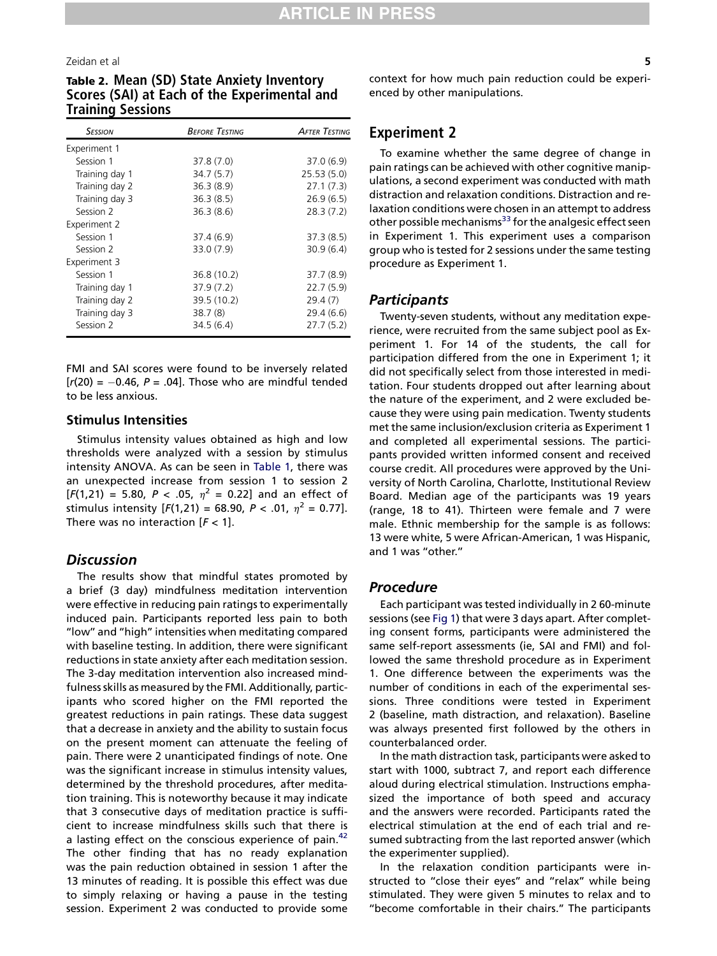#### <span id="page-4-0"></span>Zeidan et al 5

# Table 2. Mean (SD) State Anxiety Inventory Scores (SAI) at Each of the Experimental and Training Sessions

| <b>SESSION</b> | <b>BEFORE TESTING</b> | <b>AFTER TESTING</b> |
|----------------|-----------------------|----------------------|
| Experiment 1   |                       |                      |
| Session 1      | 37.8(7.0)             | 37.0(6.9)            |
| Training day 1 | 34.7(5.7)             | 25.53(5.0)           |
| Training day 2 | 36.3(8.9)             | 27.1(7.3)            |
| Training day 3 | 36.3(8.5)             | 26.9(6.5)            |
| Session 2      | 36.3(8.6)             | 28.3(7.2)            |
| Experiment 2   |                       |                      |
| Session 1      | 37.4 (6.9)            | 37.3(8.5)            |
| Session 2      | 33.0 (7.9)            | 30.9(6.4)            |
| Experiment 3   |                       |                      |
| Session 1      | 36.8 (10.2)           | 37.7(8.9)            |
| Training day 1 | 37.9(7.2)             | 22.7(5.9)            |
| Training day 2 | 39.5 (10.2)           | 29.4(7)              |
| Training day 3 | 38.7(8)               | 29.4(6.6)            |
| Session 2      | 34.5(6.4)             | 27.7(5.2)            |

FMI and SAI scores were found to be inversely related  $[r(20) = -0.46, P = .04]$ . Those who are mindful tended to be less anxious.

#### Stimulus Intensities

Stimulus intensity values obtained as high and low thresholds were analyzed with a session by stimulus intensity ANOVA. As can be seen in [Table 1,](#page-1-0) there was an unexpected increase from session 1 to session 2  $[F(1,21) = 5.80, P < .05, \eta^2 = 0.22]$  and an effect of stimulus intensity  $[F(1,21) = 68.90, P < .01, \eta^2 = 0.77]$ . There was no interaction  $[F < 1]$ .

# **Discussion**

The results show that mindful states promoted by a brief (3 day) mindfulness meditation intervention were effective in reducing pain ratings to experimentally induced pain. Participants reported less pain to both ''low'' and ''high'' intensities when meditating compared with baseline testing. In addition, there were significant reductions in state anxiety after each meditation session. The 3-day meditation intervention also increased mindfulness skills as measured by the FMI. Additionally, participants who scored higher on the FMI reported the greatest reductions in pain ratings. These data suggest that a decrease in anxiety and the ability to sustain focus on the present moment can attenuate the feeling of pain. There were 2 unanticipated findings of note. One was the significant increase in stimulus intensity values, determined by the threshold procedures, after meditation training. This is noteworthy because it may indicate that 3 consecutive days of meditation practice is sufficient to increase mindfulness skills such that there is a lasting effect on the conscious experience of pain.<sup>[42](#page-10-0)</sup> The other finding that has no ready explanation was the pain reduction obtained in session 1 after the 13 minutes of reading. It is possible this effect was due to simply relaxing or having a pause in the testing session. Experiment 2 was conducted to provide some

# Experiment 2

To examine whether the same degree of change in pain ratings can be achieved with other cognitive manipulations, a second experiment was conducted with math distraction and relaxation conditions. Distraction and relaxation conditions were chosen in an attempt to address other possible mechanisms<sup>[33](#page-9-0)</sup> for the analgesic effect seen in Experiment 1. This experiment uses a comparison group who is tested for 2 sessions under the same testing procedure as Experiment 1.

#### Participants

Twenty-seven students, without any meditation experience, were recruited from the same subject pool as Experiment 1. For 14 of the students, the call for participation differed from the one in Experiment 1; it did not specifically select from those interested in meditation. Four students dropped out after learning about the nature of the experiment, and 2 were excluded because they were using pain medication. Twenty students met the same inclusion/exclusion criteria as Experiment 1 and completed all experimental sessions. The participants provided written informed consent and received course credit. All procedures were approved by the University of North Carolina, Charlotte, Institutional Review Board. Median age of the participants was 19 years (range, 18 to 41). Thirteen were female and 7 were male. Ethnic membership for the sample is as follows: 13 were white, 5 were African-American, 1 was Hispanic, and 1 was ''other.''

#### Procedure

Each participant was tested individually in 2 60-minute sessions (see [Fig 1\)](#page-2-0) that were 3 days apart. After completing consent forms, participants were administered the same self-report assessments (ie, SAI and FMI) and followed the same threshold procedure as in Experiment 1. One difference between the experiments was the number of conditions in each of the experimental sessions. Three conditions were tested in Experiment 2 (baseline, math distraction, and relaxation). Baseline was always presented first followed by the others in counterbalanced order.

In the math distraction task, participants were asked to start with 1000, subtract 7, and report each difference aloud during electrical stimulation. Instructions emphasized the importance of both speed and accuracy and the answers were recorded. Participants rated the electrical stimulation at the end of each trial and resumed subtracting from the last reported answer (which the experimenter supplied).

In the relaxation condition participants were instructed to ''close their eyes'' and ''relax'' while being stimulated. They were given 5 minutes to relax and to ''become comfortable in their chairs.'' The participants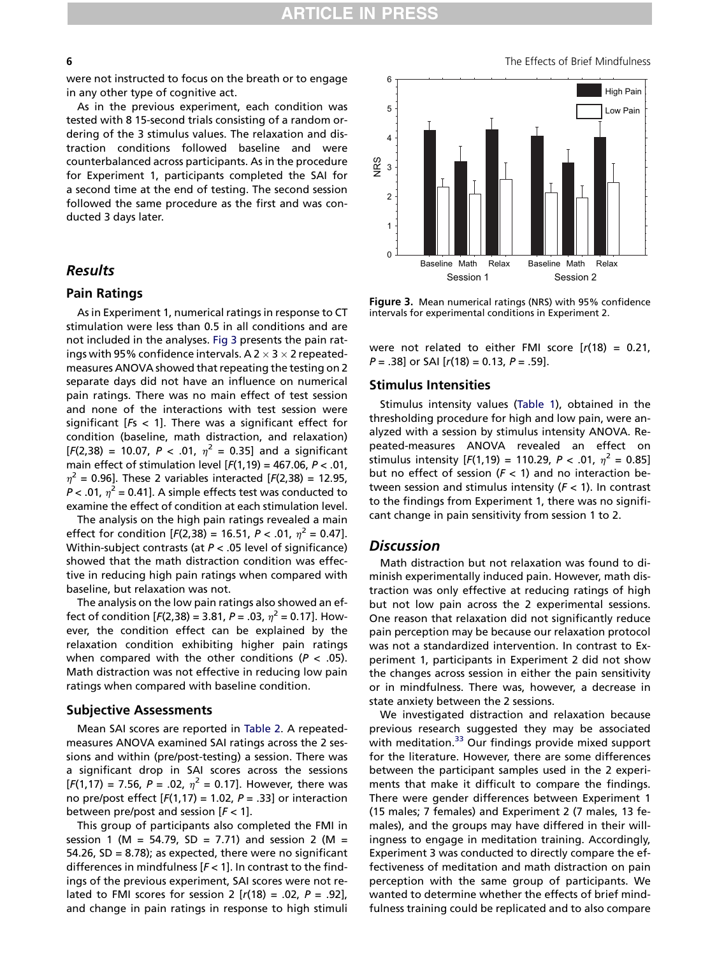were not instructed to focus on the breath or to engage in any other type of cognitive act.

As in the previous experiment, each condition was tested with 8 15-second trials consisting of a random ordering of the 3 stimulus values. The relaxation and distraction conditions followed baseline and were counterbalanced across participants. As in the procedure for Experiment 1, participants completed the SAI for a second time at the end of testing. The second session followed the same procedure as the first and was conducted 3 days later.

#### Results

#### Pain Ratings

As in Experiment 1, numerical ratings in response to CT stimulation were less than 0.5 in all conditions and are not included in the analyses. Fig 3 presents the pain ratings with 95% confidence intervals. A 2  $\times$  3  $\times$  2 repeatedmeasures ANOVA showed that repeating the testing on 2 separate days did not have an influence on numerical pain ratings. There was no main effect of test session and none of the interactions with test session were significant  $[F< 1]$ . There was a significant effect for condition (baseline, math distraction, and relaxation)  $[F(2,38) = 10.07, P < .01, \eta^2 = 0.35]$  and a significant main effect of stimulation level  $[F(1,19) = 467.06, P < .01,$  $\eta^2$  = 0.96]. These 2 variables interacted [F(2,38) = 12.95,  $P < .01$ ,  $\eta^2 = 0.41$ ]. A simple effects test was conducted to examine the effect of condition at each stimulation level.

The analysis on the high pain ratings revealed a main effect for condition  $[F(2,38) = 16.51, P < .01, \eta^2 = 0.47]$ . Within-subject contrasts (at  $P < .05$  level of significance) showed that the math distraction condition was effective in reducing high pain ratings when compared with baseline, but relaxation was not.

The analysis on the low pain ratings also showed an effect of condition  $[F(2,38) = 3.81, P = .03, \eta^2 = 0.17]$ . However, the condition effect can be explained by the relaxation condition exhibiting higher pain ratings when compared with the other conditions ( $P < .05$ ). Math distraction was not effective in reducing low pain ratings when compared with baseline condition.

#### Subjective Assessments

Mean SAI scores are reported in [Table 2](#page-4-0). A repeatedmeasures ANOVA examined SAI ratings across the 2 sessions and within (pre/post-testing) a session. There was a significant drop in SAI scores across the sessions  $[F(1,17) = 7.56, P = .02, \eta^2 = 0.17]$ . However, there was no pre/post effect  $[F(1,17) = 1.02, P = .33]$  or interaction between pre/post and session  $[F < 1]$ .

This group of participants also completed the FMI in session 1 (M = 54.79, SD = 7.71) and session 2 (M = 54.26,  $SD = 8.78$ ; as expected, there were no significant differences in mindfulness  $[F < 1]$ . In contrast to the findings of the previous experiment, SAI scores were not related to FMI scores for session 2  $[r(18) = .02, P = .92]$ , and change in pain ratings in response to high stimuli

**6** The Effects of Brief Mindfulness



Figure 3. Mean numerical ratings (NRS) with 95% confidence intervals for experimental conditions in Experiment 2.

were not related to either FMI score  $[r(18) = 0.21]$ ,  $P = .38$ ] or SAI [ $r(18) = 0.13$ ,  $P = .59$ ].

#### Stimulus Intensities

Stimulus intensity values ([Table 1](#page-1-0)), obtained in the thresholding procedure for high and low pain, were analyzed with a session by stimulus intensity ANOVA. Repeated-measures ANOVA revealed an effect on stimulus intensity  $[F(1,19) = 110.29, P < .01, \eta^2 = 0.85]$ but no effect of session ( $F < 1$ ) and no interaction between session and stimulus intensity  $(F < 1)$ . In contrast to the findings from Experiment 1, there was no significant change in pain sensitivity from session 1 to 2.

# **Discussion**

Math distraction but not relaxation was found to diminish experimentally induced pain. However, math distraction was only effective at reducing ratings of high but not low pain across the 2 experimental sessions. One reason that relaxation did not significantly reduce pain perception may be because our relaxation protocol was not a standardized intervention. In contrast to Experiment 1, participants in Experiment 2 did not show the changes across session in either the pain sensitivity or in mindfulness. There was, however, a decrease in state anxiety between the 2 sessions.

We investigated distraction and relaxation because previous research suggested they may be associated with meditation.[33](#page-9-0) Our findings provide mixed support for the literature. However, there are some differences between the participant samples used in the 2 experiments that make it difficult to compare the findings. There were gender differences between Experiment 1 (15 males; 7 females) and Experiment 2 (7 males, 13 females), and the groups may have differed in their willingness to engage in meditation training. Accordingly, Experiment 3 was conducted to directly compare the effectiveness of meditation and math distraction on pain perception with the same group of participants. We wanted to determine whether the effects of brief mindfulness training could be replicated and to also compare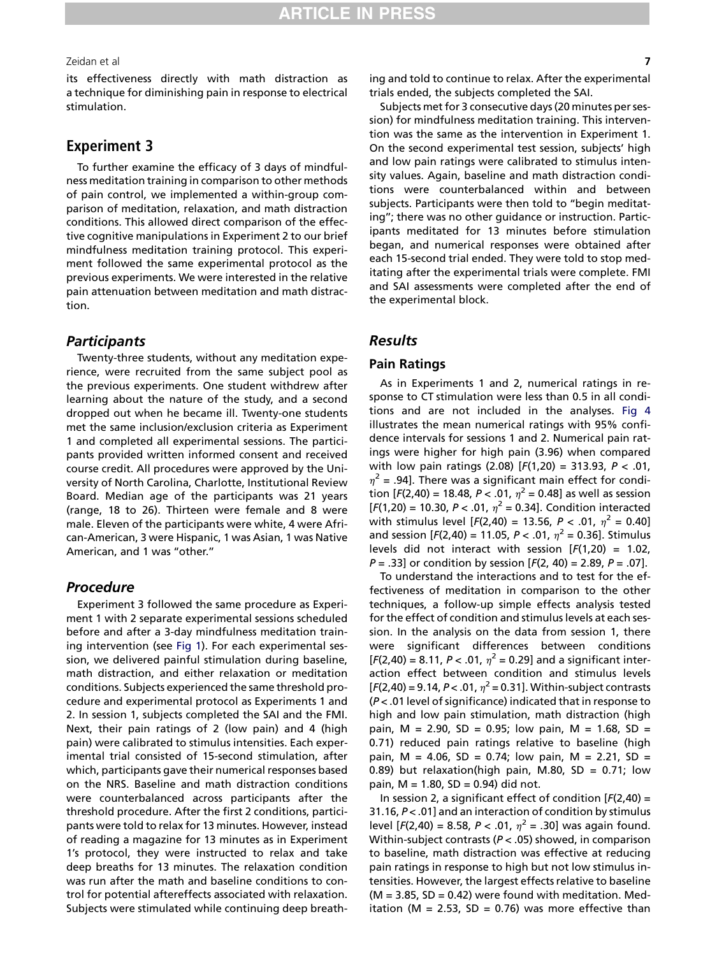#### Zeidan et al **7** Australia et al 7 Australia et al 7 Australia et al 7 Australia et al 7 Australia et al 7 Australia et al 7 Australia et al 7 Australia et al 7 Australia et al 7 Australia et al 7 Australia et al 7 Austral

its effectiveness directly with math distraction as a technique for diminishing pain in response to electrical stimulation.

# Experiment 3

To further examine the efficacy of 3 days of mindfulness meditation training in comparison to other methods of pain control, we implemented a within-group comparison of meditation, relaxation, and math distraction conditions. This allowed direct comparison of the effective cognitive manipulations in Experiment 2 to our brief mindfulness meditation training protocol. This experiment followed the same experimental protocol as the previous experiments. We were interested in the relative pain attenuation between meditation and math distraction.

# **Participants**

Twenty-three students, without any meditation experience, were recruited from the same subject pool as the previous experiments. One student withdrew after learning about the nature of the study, and a second dropped out when he became ill. Twenty-one students met the same inclusion/exclusion criteria as Experiment 1 and completed all experimental sessions. The participants provided written informed consent and received course credit. All procedures were approved by the University of North Carolina, Charlotte, Institutional Review Board. Median age of the participants was 21 years (range, 18 to 26). Thirteen were female and 8 were male. Eleven of the participants were white, 4 were African-American, 3 were Hispanic, 1 was Asian, 1 was Native American, and 1 was "other."

#### Procedure

Experiment 3 followed the same procedure as Experiment 1 with 2 separate experimental sessions scheduled before and after a 3-day mindfulness meditation training intervention (see [Fig 1\)](#page-2-0). For each experimental session, we delivered painful stimulation during baseline, math distraction, and either relaxation or meditation conditions. Subjects experienced the same threshold procedure and experimental protocol as Experiments 1 and 2. In session 1, subjects completed the SAI and the FMI. Next, their pain ratings of 2 (low pain) and 4 (high pain) were calibrated to stimulus intensities. Each experimental trial consisted of 15-second stimulation, after which, participants gave their numerical responses based on the NRS. Baseline and math distraction conditions were counterbalanced across participants after the threshold procedure. After the first 2 conditions, participants were told to relax for 13 minutes. However, instead of reading a magazine for 13 minutes as in Experiment 1's protocol, they were instructed to relax and take deep breaths for 13 minutes. The relaxation condition was run after the math and baseline conditions to control for potential aftereffects associated with relaxation. Subjects were stimulated while continuing deep breath-

ing and told to continue to relax. After the experimental trials ended, the subjects completed the SAI.

Subjects met for 3 consecutive days (20 minutes per session) for mindfulness meditation training. This intervention was the same as the intervention in Experiment 1. On the second experimental test session, subjects' high and low pain ratings were calibrated to stimulus intensity values. Again, baseline and math distraction conditions were counterbalanced within and between subjects. Participants were then told to ''begin meditating''; there was no other guidance or instruction. Participants meditated for 13 minutes before stimulation began, and numerical responses were obtained after each 15-second trial ended. They were told to stop meditating after the experimental trials were complete. FMI and SAI assessments were completed after the end of the experimental block.

#### Results

#### Pain Ratings

As in Experiments 1 and 2, numerical ratings in response to CT stimulation were less than 0.5 in all conditions and are not included in the analyses. [Fig 4](#page-7-0) illustrates the mean numerical ratings with 95% confidence intervals for sessions 1 and 2. Numerical pain ratings were higher for high pain (3.96) when compared with low pain ratings (2.08)  $[F(1,20) = 313.93, P < .01,$  $\eta^2$  = .94]. There was a significant main effect for condition [F(2,40) = 18.48, P < .01,  $\eta^2$  = 0.48] as well as session  $[F(1,20) = 10.30, P < .01, \eta^2 = 0.34]$ . Condition interacted with stimulus level  $[F(2,40) = 13.56, P < .01, \eta^2 = 0.40]$ and session  $[F(2,40) = 11.05, P < .01, \eta^2 = 0.36]$ . Stimulus levels did not interact with session  $[F(1,20) = 1.02]$ ,  $P = .33$ ] or condition by session [ $F(2, 40) = 2.89$ ,  $P = .07$ ].

To understand the interactions and to test for the effectiveness of meditation in comparison to the other techniques, a follow-up simple effects analysis tested for the effect of condition and stimulus levels at each session. In the analysis on the data from session 1, there were significant differences between conditions  $[F(2,40) = 8.11, P < .01, \eta^2 = 0.29]$  and a significant interaction effect between condition and stimulus levels  $[F(2,40) = 9.14, P < .01, \eta^2 = 0.31]$ . Within-subject contrasts  $(P < .01$  level of significance) indicated that in response to high and low pain stimulation, math distraction (high pain, M = 2.90, SD = 0.95; low pain, M = 1.68, SD = 0.71) reduced pain ratings relative to baseline (high pain,  $M = 4.06$ ,  $SD = 0.74$ ; low pain,  $M = 2.21$ ,  $SD =$ 0.89) but relaxation(high pain, M.80, SD = 0.71; low pain,  $M = 1.80$ ,  $SD = 0.94$ ) did not.

In session 2, a significant effect of condition  $[F(2,40) =$ 31.16,  $P < 01$ ] and an interaction of condition by stimulus level  $[F(2,40) = 8.58, P < .01, \eta^2 = .30]$  was again found. Within-subject contrasts ( $P < .05$ ) showed, in comparison to baseline, math distraction was effective at reducing pain ratings in response to high but not low stimulus intensities. However, the largest effects relative to baseline  $(M = 3.85, SD = 0.42)$  were found with meditation. Meditation (M = 2.53, SD = 0.76) was more effective than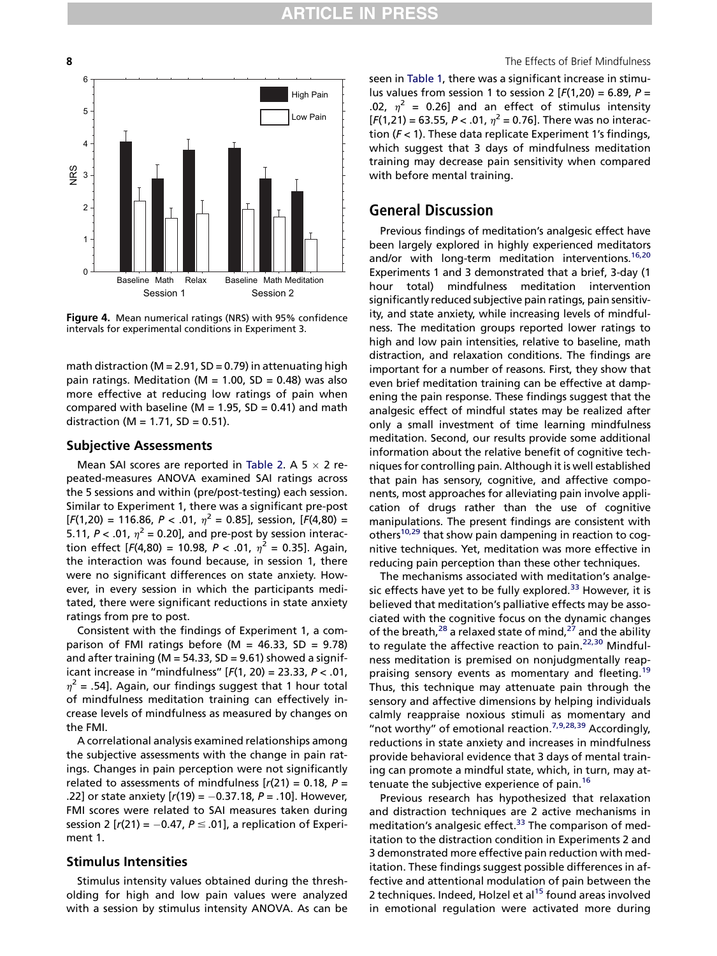<span id="page-7-0"></span>

Figure 4. Mean numerical ratings (NRS) with 95% confidence intervals for experimental conditions in Experiment 3.

math distraction ( $M = 2.91$ , SD = 0.79) in attenuating high pain ratings. Meditation (M = 1.00, SD = 0.48) was also more effective at reducing low ratings of pain when compared with baseline ( $M = 1.95$ , SD = 0.41) and math distraction (M = 1.71, SD = 0.51).

#### Subjective Assessments

Mean SAI scores are reported in [Table 2](#page-4-0). A 5  $\times$  2 repeated-measures ANOVA examined SAI ratings across the 5 sessions and within (pre/post-testing) each session. Similar to Experiment 1, there was a significant pre-post  $[F(1,20) = 116.86, P < .01, \eta^2 = 0.85]$ , session,  $[F(4,80) =$ 5.11,  $P < .01$ ,  $\eta^2 = 0.20$ , and pre-post by session interaction effect [F(4,80) = 10.98, P < .01,  $\eta^2$  = 0.35]. Again, the interaction was found because, in session 1, there were no significant differences on state anxiety. However, in every session in which the participants meditated, there were significant reductions in state anxiety ratings from pre to post.

Consistent with the findings of Experiment 1, a comparison of FMI ratings before (M =  $46.33$ , SD =  $9.78$ ) and after training ( $M = 54.33$ , SD = 9.61) showed a significant increase in "mindfulness"  $[F(1, 20) = 23.33, P < .01,$  $\eta^2$  = .54]. Again, our findings suggest that 1 hour total of mindfulness meditation training can effectively increase levels of mindfulness as measured by changes on the FMI.

A correlational analysis examined relationships among the subjective assessments with the change in pain ratings. Changes in pain perception were not significantly related to assessments of mindfulness  $[r(21) = 0.18, P =$ .22] or state anxiety  $[r(19) = -0.37.18, P = .10]$ . However, FMI scores were related to SAI measures taken during session 2 [ $r(21) = -0.47$ ,  $P \leq .01$ ], a replication of Experiment 1.

#### Stimulus Intensities

Stimulus intensity values obtained during the thresholding for high and low pain values were analyzed with a session by stimulus intensity ANOVA. As can be seen in [Table 1,](#page-1-0) there was a significant increase in stimulus values from session 1 to session 2  $[F(1,20) = 6.89, P =$ .02,  $\eta^2$  = 0.26] and an effect of stimulus intensity  $[F(1,21) = 63.55, P < .01, \eta^2 = 0.76]$ . There was no interaction  $(F < 1)$ . These data replicate Experiment 1's findings, which suggest that 3 days of mindfulness meditation training may decrease pain sensitivity when compared with before mental training.

# General Discussion

Previous findings of meditation's analgesic effect have been largely explored in highly experienced meditators and/or with long-term meditation interventions.<sup>[16,20](#page-9-0)</sup> Experiments 1 and 3 demonstrated that a brief, 3-day (1 hour total) mindfulness meditation intervention significantly reduced subjective pain ratings, pain sensitivity, and state anxiety, while increasing levels of mindfulness. The meditation groups reported lower ratings to high and low pain intensities, relative to baseline, math distraction, and relaxation conditions. The findings are important for a number of reasons. First, they show that even brief meditation training can be effective at dampening the pain response. These findings suggest that the analgesic effect of mindful states may be realized after only a small investment of time learning mindfulness meditation. Second, our results provide some additional information about the relative benefit of cognitive techniques for controlling pain. Although it is well established that pain has sensory, cognitive, and affective components, most approaches for alleviating pain involve application of drugs rather than the use of cognitive manipulations. The present findings are consistent with others<sup>[10,29](#page-9-0)</sup> that show pain dampening in reaction to cognitive techniques. Yet, meditation was more effective in reducing pain perception than these other techniques.

The mechanisms associated with meditation's analge-sic effects have yet to be fully explored.<sup>[33](#page-9-0)</sup> However, it is believed that meditation's palliative effects may be associated with the cognitive focus on the dynamic changes of the breath,<sup>28</sup> a relaxed state of mind,<sup>[27](#page-9-0)</sup> and the ability to regulate the affective reaction to pain.<sup>[22,30](#page-9-0)</sup> Mindfulness meditation is premised on nonjudgmentally reap-praising sensory events as momentary and fleeting.<sup>[19](#page-9-0)</sup> Thus, this technique may attenuate pain through the sensory and affective dimensions by helping individuals calmly reappraise noxious stimuli as momentary and "not worthy" of emotional reaction.<sup>[7,9,28,39](#page-9-0)</sup> Accordingly, reductions in state anxiety and increases in mindfulness provide behavioral evidence that 3 days of mental training can promote a mindful state, which, in turn, may at-tenuate the subjective experience of pain.<sup>[16](#page-9-0)</sup>

Previous research has hypothesized that relaxation and distraction techniques are 2 active mechanisms in meditation's analgesic effect. $33$  The comparison of meditation to the distraction condition in Experiments 2 and 3 demonstrated more effective pain reduction with meditation. These findings suggest possible differences in affective and attentional modulation of pain between the 2 techniques. Indeed, Holzel et al<sup>[15](#page-9-0)</sup> found areas involved in emotional regulation were activated more during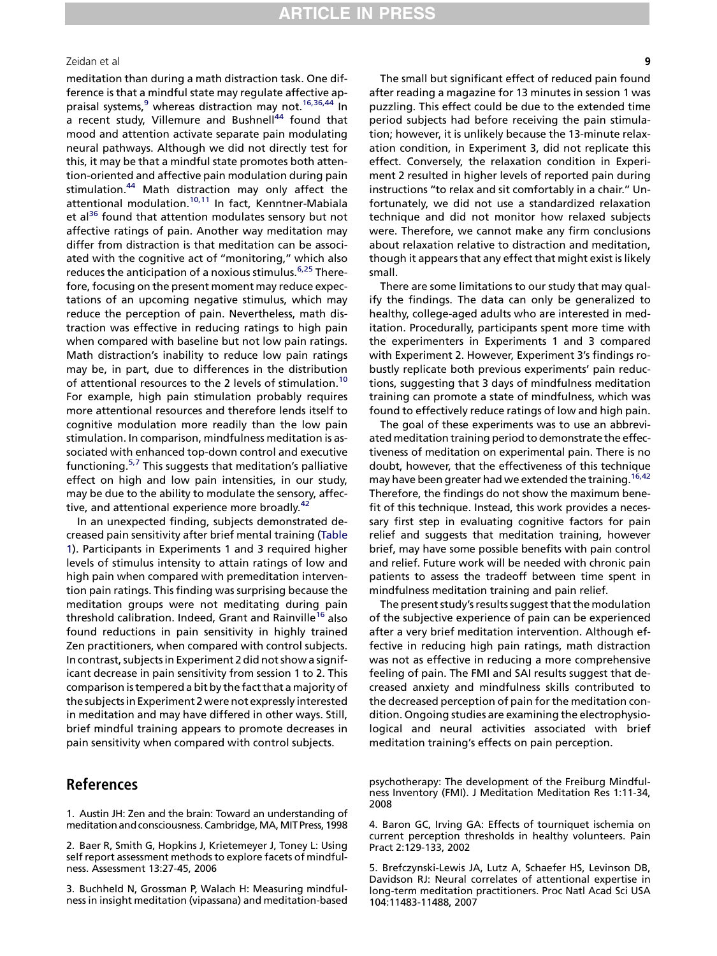#### <span id="page-8-0"></span>Zeidan et al 9

meditation than during a math distraction task. One difference is that a mindful state may regulate affective ap-praisal systems,<sup>[9](#page-9-0)</sup> whereas distraction may not.<sup>16,36,44</sup> In a recent study, Villemure and Bushnell<sup>[44](#page-10-0)</sup> found that mood and attention activate separate pain modulating neural pathways. Although we did not directly test for this, it may be that a mindful state promotes both attention-oriented and affective pain modulation during pain stimulation.<sup>[44](#page-10-0)</sup> Math distraction may only affect the attentional modulation.<sup>[10,11](#page-9-0)</sup> In fact, Kenntner-Mabiala et al<sup>[36](#page-9-0)</sup> found that attention modulates sensory but not affective ratings of pain. Another way meditation may differ from distraction is that meditation can be associated with the cognitive act of "monitoring," which also reduces the anticipation of a noxious stimulus.<sup>[6,25](#page-9-0)</sup> Therefore, focusing on the present moment may reduce expectations of an upcoming negative stimulus, which may reduce the perception of pain. Nevertheless, math distraction was effective in reducing ratings to high pain when compared with baseline but not low pain ratings. Math distraction's inability to reduce low pain ratings may be, in part, due to differences in the distribution of attentional resources to the 2 levels of stimulation.<sup>[10](#page-9-0)</sup> For example, high pain stimulation probably requires more attentional resources and therefore lends itself to cognitive modulation more readily than the low pain stimulation. In comparison, mindfulness meditation is associated with enhanced top-down control and executive functioning.5,7 This suggests that meditation's palliative effect on high and low pain intensities, in our study, may be due to the ability to modulate the sensory, affec-tive, and attentional experience more broadly.<sup>[42](#page-10-0)</sup>

In an unexpected finding, subjects demonstrated decreased pain sensitivity after brief mental training ([Table](#page-1-0) [1\)](#page-1-0). Participants in Experiments 1 and 3 required higher levels of stimulus intensity to attain ratings of low and high pain when compared with premeditation intervention pain ratings. This finding was surprising because the meditation groups were not meditating during pain threshold calibration. Indeed, Grant and Rainville<sup>[16](#page-9-0)</sup> also found reductions in pain sensitivity in highly trained Zen practitioners, when compared with control subjects. In contrast, subjects in Experiment 2 did not show a significant decrease in pain sensitivity from session 1 to 2. This comparison is tempered a bit by the fact that a majority of the subjects in Experiment 2 were not expressly interested in meditation and may have differed in other ways. Still, brief mindful training appears to promote decreases in pain sensitivity when compared with control subjects.

# References

1. Austin JH: Zen and the brain: Toward an understanding of meditation and consciousness. Cambridge, MA, MIT Press, 1998

2. Baer R, Smith G, Hopkins J, Krietemeyer J, Toney L: Using self report assessment methods to explore facets of mindfulness. Assessment 13:27-45, 2006

3. Buchheld N, Grossman P, Walach H: Measuring mindfulness in insight meditation (vipassana) and meditation-based

The small but significant effect of reduced pain found after reading a magazine for 13 minutes in session 1 was puzzling. This effect could be due to the extended time period subjects had before receiving the pain stimulation; however, it is unlikely because the 13-minute relaxation condition, in Experiment 3, did not replicate this effect. Conversely, the relaxation condition in Experiment 2 resulted in higher levels of reported pain during instructions ''to relax and sit comfortably in a chair.'' Unfortunately, we did not use a standardized relaxation technique and did not monitor how relaxed subjects were. Therefore, we cannot make any firm conclusions about relaxation relative to distraction and meditation, though it appears that any effect that might exist is likely small.

There are some limitations to our study that may qualify the findings. The data can only be generalized to healthy, college-aged adults who are interested in meditation. Procedurally, participants spent more time with the experimenters in Experiments 1 and 3 compared with Experiment 2. However, Experiment 3's findings robustly replicate both previous experiments' pain reductions, suggesting that 3 days of mindfulness meditation training can promote a state of mindfulness, which was found to effectively reduce ratings of low and high pain.

The goal of these experiments was to use an abbreviated meditation training period to demonstrate the effectiveness of meditation on experimental pain. There is no doubt, however, that the effectiveness of this technique may have been greater had we extended the training.<sup>[16,42](#page-9-0)</sup> Therefore, the findings do not show the maximum benefit of this technique. Instead, this work provides a necessary first step in evaluating cognitive factors for pain relief and suggests that meditation training, however brief, may have some possible benefits with pain control and relief. Future work will be needed with chronic pain patients to assess the tradeoff between time spent in mindfulness meditation training and pain relief.

The present study's results suggest that the modulation of the subjective experience of pain can be experienced after a very brief meditation intervention. Although effective in reducing high pain ratings, math distraction was not as effective in reducing a more comprehensive feeling of pain. The FMI and SAI results suggest that decreased anxiety and mindfulness skills contributed to the decreased perception of pain for the meditation condition. Ongoing studies are examining the electrophysiological and neural activities associated with brief meditation training's effects on pain perception.

psychotherapy: The development of the Freiburg Mindfulness Inventory (FMI). J Meditation Meditation Res 1:11-34, 2008

4. Baron GC, Irving GA: Effects of tourniquet ischemia on current perception thresholds in healthy volunteers. Pain Pract 2:129-133, 2002

5. Brefczynski-Lewis JA, Lutz A, Schaefer HS, Levinson DB, Davidson RJ: Neural correlates of attentional expertise in long-term meditation practitioners. Proc Natl Acad Sci USA 104:11483-11488, 2007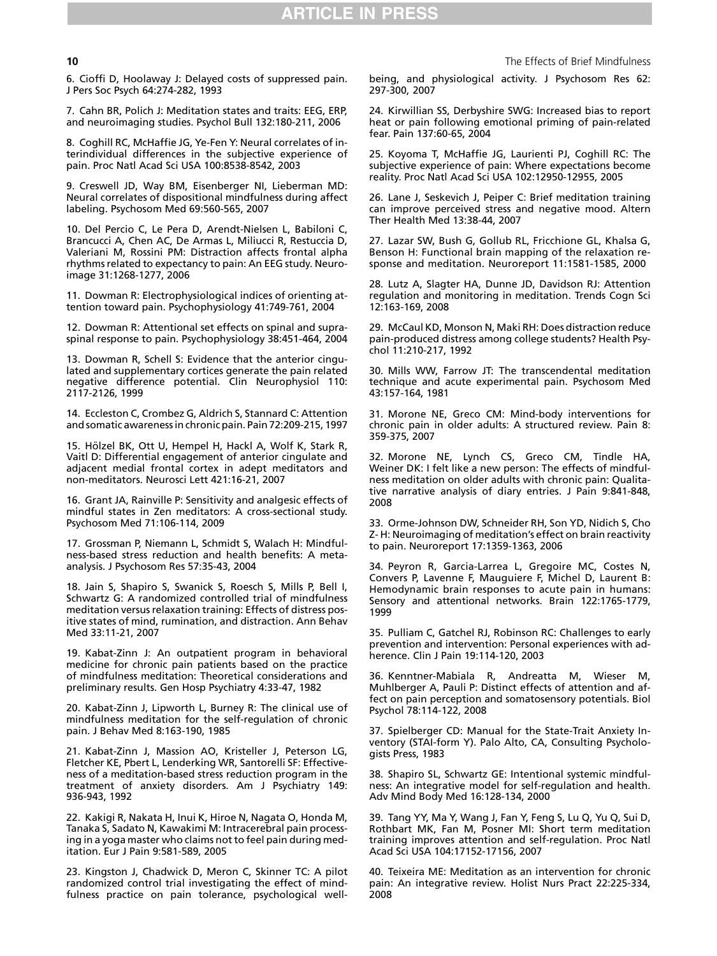6. Cioffi D, Hoolaway J: Delayed costs of suppressed pain. J Pers Soc Psych 64:274-282, 1993

7. Cahn BR, Polich J: Meditation states and traits: EEG, ERP, and neuroimaging studies. Psychol Bull 132:180-211, 2006

8. Coghill RC, McHaffie JG, Ye-Fen Y: Neural correlates of interindividual differences in the subjective experience of pain. Proc Natl Acad Sci USA 100:8538-8542, 2003

9. Creswell JD, Way BM, Eisenberger NI, Lieberman MD: Neural correlates of dispositional mindfulness during affect labeling. Psychosom Med 69:560-565, 2007

10. Del Percio C, Le Pera D, Arendt-Nielsen L, Babiloni C, Brancucci A, Chen AC, De Armas L, Miliucci R, Restuccia D, Valeriani M, Rossini PM: Distraction affects frontal alpha rhythms related to expectancy to pain: An EEG study. Neuroimage 31:1268-1277, 2006

11. Dowman R: Electrophysiological indices of orienting attention toward pain. Psychophysiology 41:749-761, 2004

12. Dowman R: Attentional set effects on spinal and supraspinal response to pain. Psychophysiology 38:451-464, 2004

13. Dowman R, Schell S: Evidence that the anterior cingulated and supplementary cortices generate the pain related negative difference potential. Clin Neurophysiol 110: 2117-2126, 1999

14. Eccleston C, Crombez G, Aldrich S, Stannard C: Attention and somatic awareness in chronic pain. Pain 72:209-215, 1997

15. Hölzel BK, Ott U, Hempel H, Hackl A, Wolf K, Stark R, Vaitl D: Differential engagement of anterior cingulate and adjacent medial frontal cortex in adept meditators and non-meditators. Neurosci Lett 421:16-21, 2007

16. Grant JA, Rainville P: Sensitivity and analgesic effects of mindful states in Zen meditators: A cross-sectional study. Psychosom Med 71:106-114, 2009

17. Grossman P, Niemann L, Schmidt S, Walach H: Mindfulness-based stress reduction and health benefits: A metaanalysis. J Psychosom Res 57:35-43, 2004

18. Jain S, Shapiro S, Swanick S, Roesch S, Mills P, Bell I, Schwartz G: A randomized controlled trial of mindfulness meditation versus relaxation training: Effects of distress positive states of mind, rumination, and distraction. Ann Behav Med 33:11-21, 2007

19. Kabat-Zinn J: An outpatient program in behavioral medicine for chronic pain patients based on the practice of mindfulness meditation: Theoretical considerations and preliminary results. Gen Hosp Psychiatry 4:33-47, 1982

20. Kabat-Zinn J, Lipworth L, Burney R: The clinical use of mindfulness meditation for the self-regulation of chronic pain. J Behav Med 8:163-190, 1985

21. Kabat-Zinn J, Massion AO, Kristeller J, Peterson LG, Fletcher KE, Pbert L, Lenderking WR, Santorelli SF: Effectiveness of a meditation-based stress reduction program in the treatment of anxiety disorders. Am J Psychiatry 149: 936-943, 1992

22. Kakigi R, Nakata H, Inui K, Hiroe N, Nagata O, Honda M, Tanaka S, Sadato N, Kawakimi M: Intracerebral pain processing in a yoga master who claims not to feel pain during meditation. Eur J Pain 9:581-589, 2005

23. Kingston J, Chadwick D, Meron C, Skinner TC: A pilot randomized control trial investigating the effect of mindfulness practice on pain tolerance, psychological well-

<span id="page-9-0"></span>**10** The Effects of Brief Mindfulness

being, and physiological activity. J Psychosom Res 62: 297-300, 2007

24. Kirwillian SS, Derbyshire SWG: Increased bias to report heat or pain following emotional priming of pain-related fear. Pain 137:60-65, 2004

25. Koyoma T, McHaffie JG, Laurienti PJ, Coghill RC: The subjective experience of pain: Where expectations become reality. Proc Natl Acad Sci USA 102:12950-12955, 2005

26. Lane J, Seskevich J, Peiper C: Brief meditation training can improve perceived stress and negative mood. Altern Ther Health Med 13:38-44, 2007

27. Lazar SW, Bush G, Gollub RL, Fricchione GL, Khalsa G, Benson H: Functional brain mapping of the relaxation response and meditation. Neuroreport 11:1581-1585, 2000

28. Lutz A, Slagter HA, Dunne JD, Davidson RJ: Attention regulation and monitoring in meditation. Trends Cogn Sci 12:163-169, 2008

29. McCaul KD, Monson N, Maki RH: Does distraction reduce pain-produced distress among college students? Health Psychol 11:210-217, 1992

30. Mills WW, Farrow JT: The transcendental meditation technique and acute experimental pain. Psychosom Med 43:157-164, 1981

31. Morone NE, Greco CM: Mind-body interventions for chronic pain in older adults: A structured review. Pain 8: 359-375, 2007

32. Morone NE, Lynch CS, Greco CM, Tindle HA, Weiner DK: I felt like a new person: The effects of mindfulness meditation on older adults with chronic pain: Qualitative narrative analysis of diary entries. J Pain 9:841-848, 2008

33. Orme-Johnson DW, Schneider RH, Son YD, Nidich S, Cho Z- H: Neuroimaging of meditation's effect on brain reactivity to pain. Neuroreport 17:1359-1363, 2006

34. Peyron R, Garcia-Larrea L, Gregoire MC, Costes N, Convers P, Lavenne F, Mauguiere F, Michel D, Laurent B: Hemodynamic brain responses to acute pain in humans: Sensory and attentional networks. Brain 122:1765-1779, 1999

35. Pulliam C, Gatchel RJ, Robinson RC: Challenges to early prevention and intervention: Personal experiences with adherence. Clin J Pain 19:114-120, 2003

36. Kenntner-Mabiala R, Andreatta M, Wieser M, Muhlberger A, Pauli P: Distinct effects of attention and affect on pain perception and somatosensory potentials. Biol Psychol 78:114-122, 2008

37. Spielberger CD: Manual for the State-Trait Anxiety Inventory (STAI-form Y). Palo Alto, CA, Consulting Psychologists Press, 1983

38. Shapiro SL, Schwartz GE: Intentional systemic mindfulness: An integrative model for self-regulation and health. Adv Mind Body Med 16:128-134, 2000

39. Tang YY, Ma Y, Wang J, Fan Y, Feng S, Lu Q, Yu Q, Sui D, Rothbart MK, Fan M, Posner MI: Short term meditation training improves attention and self-regulation. Proc Natl Acad Sci USA 104:17152-17156, 2007

40. Teixeira ME: Meditation as an intervention for chronic pain: An integrative review. Holist Nurs Pract 22:225-334, 2008